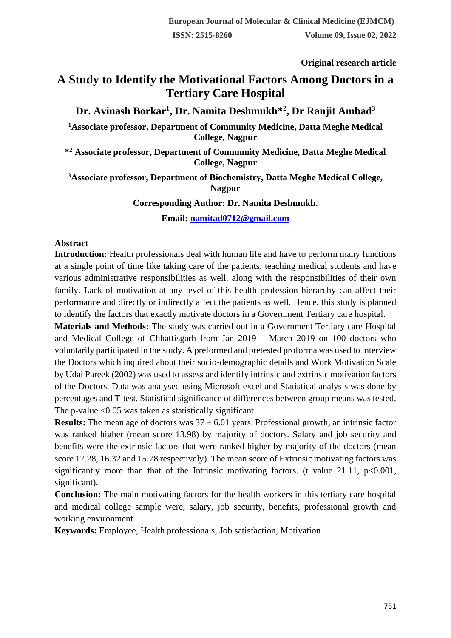**Original research article** 

# **A Study to Identify the Motivational Factors Among Doctors in a Tertiary Care Hospital**

## **Dr. Avinash Borkar<sup>1</sup> , Dr. Namita Deshmukh\*<sup>2</sup> , Dr Ranjit Ambad<sup>3</sup>**

**<sup>1</sup>Associate professor, Department of Community Medicine, Datta Meghe Medical College, Nagpur**

**\* <sup>2</sup> Associate professor, Department of Community Medicine, Datta Meghe Medical College, Nagpur**

**<sup>3</sup>Associate professor, Department of Biochemistry, Datta Meghe Medical College, Nagpur**

**Corresponding Author: Dr. Namita Deshmukh.**

**Email: [namitad0712@gmail.com](mailto:namitad0712@gmail.com)**

### **Abstract**

**Introduction:** Health professionals deal with human life and have to perform many functions at a single point of time like taking care of the patients, teaching medical students and have various administrative responsibilities as well, along with the responsibilities of their own family. Lack of motivation at any level of this health profession hierarchy can affect their performance and directly or indirectly affect the patients as well. Hence, this study is planned to identify the factors that exactly motivate doctors in a Government Tertiary care hospital.

**Materials and Methods:** The study was carried out in a Government Tertiary care Hospital and Medical College of Chhattisgarh from Jan 2019 – March 2019 on 100 doctors who voluntarily participated in the study. A preformed and pretested proforma was used to interview the Doctors which inquired about their socio-demographic details and Work Motivation Scale by Udai Pareek (2002) was used to assess and identify intrinsic and extrinsic motivation factors of the Doctors. Data was analysed using Microsoft excel and Statistical analysis was done by percentages and T-test. Statistical significance of differences between group means was tested. The p-value  $\langle 0.05 \rangle$  was taken as statistically significant

**Results:** The mean age of doctors was  $37 \pm 6.01$  years. Professional growth, an intrinsic factor was ranked higher (mean score 13.98) by majority of doctors. Salary and job security and benefits were the extrinsic factors that were ranked higher by majority of the doctors (mean score 17.28, 16.32 and 15.78 respectively). The mean score of Extrinsic motivating factors was significantly more than that of the Intrinsic motivating factors. (t value 21.11,  $p<0.001$ , significant).

**Conclusion:** The main motivating factors for the health workers in this tertiary care hospital and medical college sample were, salary, job security, benefits, professional growth and working environment.

**Keywords:** Employee, Health professionals, Job satisfaction, Motivation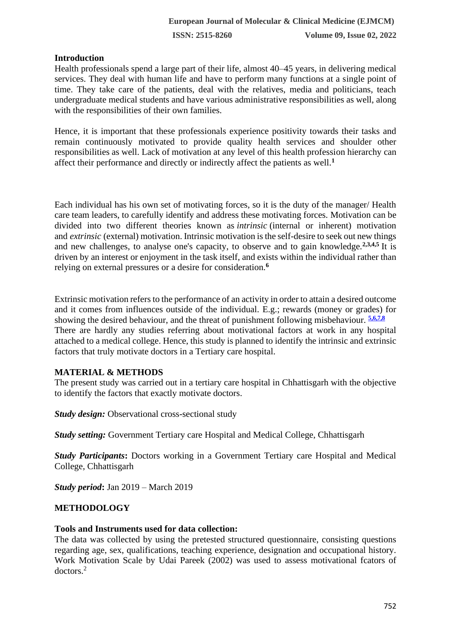### **Introduction**

Health professionals spend a large part of their life, almost 40–45 years, in delivering medical services. They deal with human life and have to perform many functions at a single point of time. They take care of the patients, deal with the relatives, media and politicians, teach undergraduate medical students and have various administrative responsibilities as well, along with the responsibilities of their own families.

Hence, it is important that these professionals experience positivity towards their tasks and remain continuously motivated to provide quality health services and shoulder other responsibilities as well. Lack of motivation at any level of this health profession hierarchy can affect their performance and directly or indirectly affect the patients as well.**<sup>1</sup>**

Each individual has his own set of motivating forces, so it is the duty of the manager/ Health care team leaders, to carefully identify and address these motivating forces. Motivation can be divided into two different theories known as *intrinsic* (internal or inherent) motivation and *extrinsic* (external) motivation. Intrinsic motivation is the self-desire to seek out new things and new challenges, to analyse one's capacity, to observe and to gain knowledge.**2,3,[4,5](https://en.wikipedia.org/wiki/Motivation)** It is driven by an interest or enjoyment in the task itself, and exists within the individual rather than relying on external pressures or a desire for consideration.**[6](https://en.wikipedia.org/wiki/Motivation)**

Extrinsic motivation refers to the performance of an activity in order to attain a desired outcome and it comes from influences outside of the individual. E.g.; rewards (money or grades) for showing the desired behaviour, and the threat of punishment following misbehaviour. **[5,](https://en.wikipedia.org/wiki/Motivation)6,7,8** There are hardly any studies referring about motivational factors at work in any hospital attached to a medical college. Hence, this study is planned to identify the intrinsic and extrinsic factors that truly motivate doctors in a Tertiary care hospital.

### **MATERIAL & METHODS**

The present study was carried out in a tertiary care hospital in Chhattisgarh with the objective to identify the factors that exactly motivate doctors.

*Study design:* Observational cross-sectional study

*Study setting:* Government Tertiary care Hospital and Medical College, Chhattisgarh

*Study Participants***:** Doctors working in a Government Tertiary care Hospital and Medical College, Chhattisgarh

*Study period***:** Jan 2019 – March 2019

### **METHODOLOGY**

### **Tools and Instruments used for data collection:**

The data was collected by using the pretested structured questionnaire, consisting questions regarding age, sex, qualifications, teaching experience, designation and occupational history. Work Motivation Scale by Udai Pareek (2002) was used to assess motivational fcators of doctors.<sup>2</sup>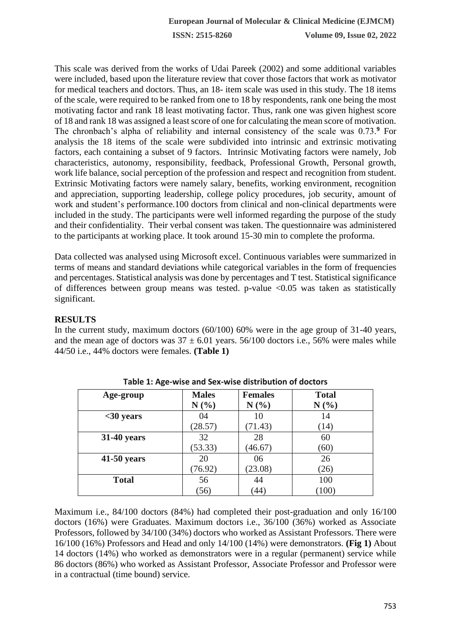This scale was derived from the works of Udai Pareek (2002) and some additional variables were included, based upon the literature review that cover those factors that work as motivator for medical teachers and doctors. Thus, an 18- item scale was used in this study. The 18 items of the scale, were required to be ranked from one to 18 by respondents, rank one being the most motivating factor and rank 18 least motivating factor. Thus, rank one was given highest score of 18 and rank 18 was assigned a least score of one for calculating the mean score of motivation. The chronbach's alpha of reliability and internal consistency of the scale was 0.73.**<sup>9</sup>** For analysis the 18 items of the scale were subdivided into intrinsic and extrinsic motivating factors, each containing a subset of 9 factors. Intrinsic Motivating factors were namely, Job characteristics, autonomy, responsibility, feedback, Professional Growth, Personal growth, work life balance, social perception of the profession and respect and recognition from student. Extrinsic Motivating factors were namely salary, benefits, working environment, recognition and appreciation, supporting leadership, college policy procedures, job security, amount of work and student's performance.100 doctors from clinical and non-clinical departments were included in the study. The participants were well informed regarding the purpose of the study and their confidentiality. Their verbal consent was taken. The questionnaire was administered to the participants at working place. It took around 15-30 min to complete the proforma.

Data collected was analysed using Microsoft excel. Continuous variables were summarized in terms of means and standard deviations while categorical variables in the form of frequencies and percentages. Statistical analysis was done by percentages and T test. Statistical significance of differences between group means was tested. p-value <0.05 was taken as statistically significant.

### **RESULTS**

In the current study, maximum doctors (60/100) 60% were in the age group of 31-40 years, and the mean age of doctors was  $37 \pm 6.01$  years. 56/100 doctors i.e., 56% were males while 44/50 i.e., 44% doctors were females. **(Table 1)**

| Age-group          | <b>Males</b> | <b>Females</b> | <b>Total</b> |
|--------------------|--------------|----------------|--------------|
|                    | N(%)         | N(%)           | N(%)         |
| $30 years$         | 04           | 10             | 14           |
|                    | (28.57)      | (71.43)        | (14)         |
| <b>31-40 years</b> | 32           | 28             | 60           |
|                    | (53.33)      | (46.67)        | (60)         |
| $41-50$ years      | 20           | 06             | 26           |
|                    | (76.92)      | (23.08)        | (26)         |
| <b>Total</b>       | 56           | 44             | 100          |
|                    | (56)         | 44             | (100)        |

**Table 1: Age-wise and Sex-wise distribution of doctors**

Maximum i.e., 84/100 doctors (84%) had completed their post-graduation and only 16/100 doctors (16%) were Graduates. Maximum doctors i.e., 36/100 (36%) worked as Associate Professors, followed by 34/100 (34%) doctors who worked as Assistant Professors. There were 16/100 (16%) Professors and Head and only 14/100 (14%) were demonstrators. **(Fig 1)** About 14 doctors (14%) who worked as demonstrators were in a regular (permanent) service while 86 doctors (86%) who worked as Assistant Professor, Associate Professor and Professor were in a contractual (time bound) service.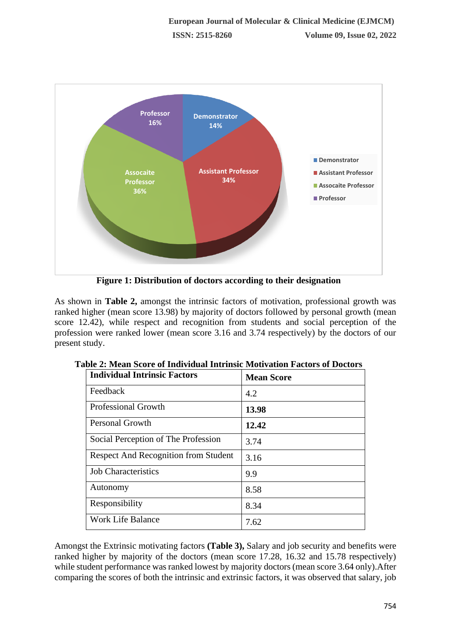

**Figure 1: Distribution of doctors according to their designation**

As shown in **Table 2,** amongst the intrinsic factors of motivation, professional growth was ranked higher (mean score 13.98) by majority of doctors followed by personal growth (mean score 12.42), while respect and recognition from students and social perception of the profession were ranked lower (mean score 3.16 and 3.74 respectively) by the doctors of our present study.

| <b>Individual Intrinsic Factors</b>         | <b>Mean Score</b> |
|---------------------------------------------|-------------------|
| Feedback                                    | 4.2               |
| <b>Professional Growth</b>                  | 13.98             |
| Personal Growth                             | 12.42             |
| Social Perception of The Profession         | 3.74              |
| <b>Respect And Recognition from Student</b> | 3.16              |
| <b>Job Characteristics</b>                  | 9.9               |
| Autonomy                                    | 8.58              |
| Responsibility                              | 8.34              |
| <b>Work Life Balance</b>                    | 7.62              |

Amongst the Extrinsic motivating factors **(Table 3),** Salary and job security and benefits were ranked higher by majority of the doctors (mean score 17.28, 16.32 and 15.78 respectively) while student performance was ranked lowest by majority doctors (mean score 3.64 only).After comparing the scores of both the intrinsic and extrinsic factors, it was observed that salary, job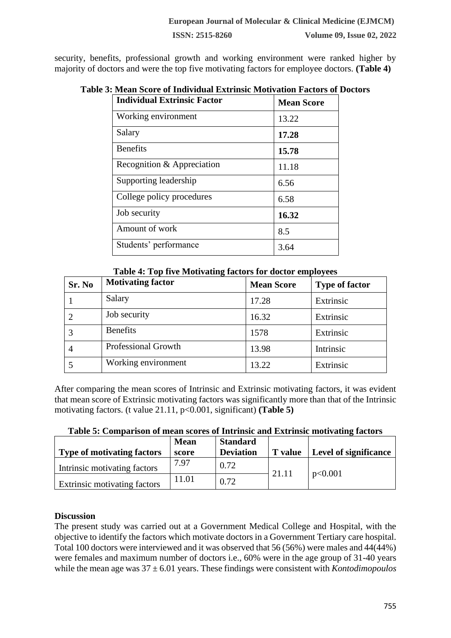**ISSN: 2515-8260 Volume 09, Issue 02, 2022**

security, benefits, professional growth and working environment were ranked higher by majority of doctors and were the top five motivating factors for employee doctors. **(Table 4)**

| <b>Individual Extrinsic Factor</b> | <b>Mean Score</b> |
|------------------------------------|-------------------|
| Working environment                | 13.22             |
| Salary                             | 17.28             |
| <b>Benefits</b>                    | 15.78             |
| Recognition & Appreciation         | 11.18             |
| Supporting leadership              | 6.56              |
| College policy procedures          | 6.58              |
| Job security                       | 16.32             |
| Amount of work                     | 8.5               |
| Students' performance              | 3.64              |

### **Table 3: Mean Score of Individual Extrinsic Motivation Factors of Doctors**

**Table 4: Top five Motivating factors for doctor employees**

| Sr. No | <b>Motivating factor</b>   | <b>Mean Score</b> | <b>Type of factor</b> |
|--------|----------------------------|-------------------|-----------------------|
|        | Salary                     | 17.28             | Extrinsic             |
|        | Job security               | 16.32             | Extrinsic             |
|        | <b>Benefits</b>            | 1578              | Extrinsic             |
|        | <b>Professional Growth</b> | 13.98             | Intrinsic             |
|        | Working environment        | 13.22             | Extrinsic             |

After comparing the mean scores of Intrinsic and Extrinsic motivating factors, it was evident that mean score of Extrinsic motivating factors was significantly more than that of the Intrinsic motivating factors. (t value 21.11, p<0.001, significant) **(Table 5)** 

| Table 5: Comparison of mean scores of Intrinsic and Extrinsic motivating factors |  |
|----------------------------------------------------------------------------------|--|
|----------------------------------------------------------------------------------|--|

| <b>Type of motivating factors</b>   | <b>Mean</b><br>score | <b>Standard</b><br><b>Deviation</b> | <b>T</b> value | Level of significance |
|-------------------------------------|----------------------|-------------------------------------|----------------|-----------------------|
| Intrinsic motivating factors        | 7.97                 | 0.72                                | 21.11          | p<0.001               |
| <b>Extrinsic motivating factors</b> | 11.01                | 0.72                                |                |                       |

### **Discussion**

The present study was carried out at a Government Medical College and Hospital, with the objective to identify the factors which motivate doctors in a Government Tertiary care hospital. Total 100 doctors were interviewed and it was observed that 56 (56%) were males and 44(44%) were females and maximum number of doctors i.e., 60% were in the age group of 31-40 years while the mean age was 37 ± 6.01 years. These findings were consistent with *Kontodimopoulos*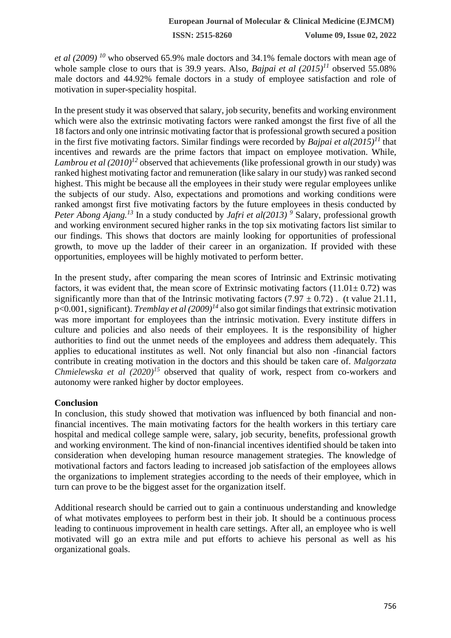**ISSN: 2515-8260 Volume 09, Issue 02, 2022**

*et al (2009) <sup>10</sup>* who observed 65.9% male doctors and 34.1% female doctors with mean age of whole sample close to ours that is 39.9 years. Also, *Bajpai et al (2015)<sup>11</sup>* observed 55.08% male doctors and 44.92% female doctors in a study of employee satisfaction and role of motivation in super-speciality hospital.

In the present study it was observed that salary, job security, benefits and working environment which were also the extrinsic motivating factors were ranked amongst the first five of all the 18 factors and only one intrinsic motivating factor that is professional growth secured a position in the first five motivating factors. Similar findings were recorded by *Bajpai et al(2015)<sup>11</sup>* that incentives and rewards are the prime factors that impact on employee motivation. While, *Lambrou et al (2010)<sup>12</sup>* observed that achievements (like professional growth in our study) was ranked highest motivating factor and remuneration (like salary in our study) was ranked second highest. This might be because all the employees in their study were regular employees unlike the subjects of our study. Also, expectations and promotions and working conditions were ranked amongst first five motivating factors by the future employees in thesis conducted by *Peter Abong Ajang.*<sup>13</sup> In a study conducted by *Jafri et al(2013)* <sup>9</sup> Salary, professional growth and working environment secured higher ranks in the top six motivating factors list similar to our findings. This shows that doctors are mainly looking for opportunities of professional growth, to move up the ladder of their career in an organization. If provided with these opportunities, employees will be highly motivated to perform better.

In the present study, after comparing the mean scores of Intrinsic and Extrinsic motivating factors, it was evident that, the mean score of Extrinsic motivating factors  $(11.01 \pm 0.72)$  was significantly more than that of the Intrinsic motivating factors  $(7.97 \pm 0.72)$ . (t value 21.11, p<0.001, significant). *Tremblay et al (2009)<sup>14</sup>* also got similar findings that extrinsic motivation was more important for employees than the intrinsic motivation. Every institute differs in culture and policies and also needs of their employees. It is the responsibility of higher authorities to find out the unmet needs of the employees and address them adequately. This applies to educational institutes as well. Not only financial but also non -financial factors contribute in creating motivation in the doctors and this should be taken care of. *Malgorzata Chmielewska et al (2020)<sup>15</sup>* observed that quality of work, respect from co-workers and autonomy were ranked higher by doctor employees.

#### **Conclusion**

In conclusion, this study showed that motivation was influenced by both financial and nonfinancial incentives. The main motivating factors for the health workers in this tertiary care hospital and medical college sample were, salary, job security, benefits, professional growth and working environment. The kind of non-financial incentives identified should be taken into consideration when developing human resource management strategies. The knowledge of motivational factors and factors leading to increased job satisfaction of the employees allows the organizations to implement strategies according to the needs of their employee, which in turn can prove to be the biggest asset for the organization itself.

Additional research should be carried out to gain a continuous understanding and knowledge of what motivates employees to perform best in their job. It should be a continuous process leading to continuous improvement in health care settings. After all, an employee who is well motivated will go an extra mile and put efforts to achieve his personal as well as his organizational goals.